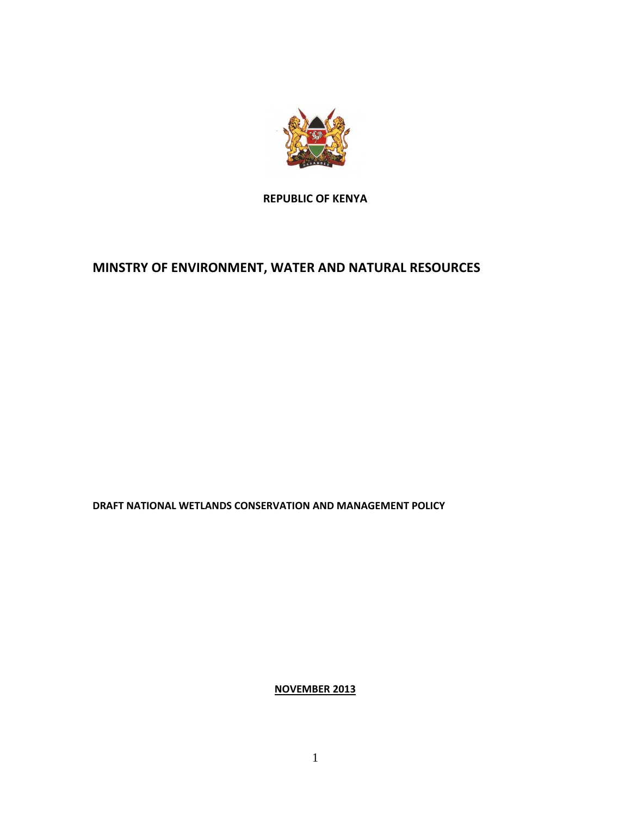

**REPUBLIC OF KENYA**

# **MINSTRY OF ENVIRONMENT, WATER AND NATURAL RESOURCES**

**DRAFT NATIONAL WETLANDS CONSERVATION AND MANAGEMENT POLICY**

**NOVEMBER 2013**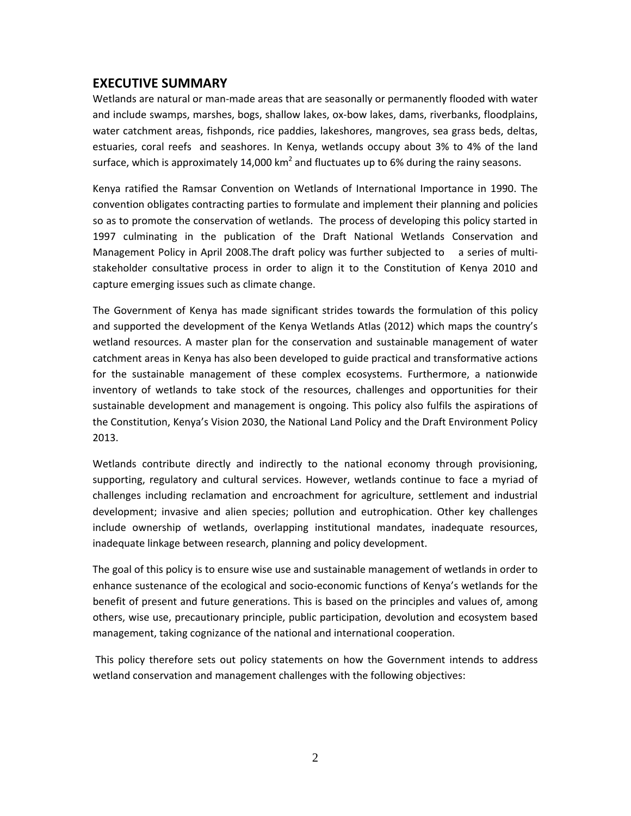# <span id="page-1-0"></span>**EXECUTIVE SUMMARY**

Wetlands are natural or man‐made areas that are seasonally or permanently flooded with water and include swamps, marshes, bogs, shallow lakes, ox‐bow lakes, dams, riverbanks, floodplains, water catchment areas, fishponds, rice paddies, lakeshores, mangroves, sea grass beds, deltas, estuaries, coral reefs and seashores. In Kenya, wetlands occupy about 3% to 4% of the land surface, which is approximately 14,000 km<sup>2</sup> and fluctuates up to 6% during the rainy seasons.

Kenya ratified the Ramsar Convention on Wetlands of International Importance in 1990. The convention obligates contracting parties to formulate and implement their planning and policies so as to promote the conservation of wetlands. The process of developing this policy started in 1997 culminating in the publication of the Draft National Wetlands Conservation and Management Policy in April 2008. The draft policy was further subjected to a series of multistakeholder consultative process in order to align it to the Constitution of Kenya 2010 and capture emerging issues such as climate change.

The Government of Kenya has made significant strides towards the formulation of this policy and supported the development of the Kenya Wetlands Atlas (2012) which maps the country's wetland resources. A master plan for the conservation and sustainable management of water catchment areas in Kenya has also been developed to guide practical and transformative actions for the sustainable management of these complex ecosystems. Furthermore, a nationwide inventory of wetlands to take stock of the resources, challenges and opportunities for their sustainable development and management is ongoing. This policy also fulfils the aspirations of the Constitution, Kenya's Vision 2030, the National Land Policy and the Draft Environment Policy 2013.

Wetlands contribute directly and indirectly to the national economy through provisioning, supporting, regulatory and cultural services. However, wetlands continue to face a myriad of challenges including reclamation and encroachment for agriculture, settlement and industrial development; invasive and alien species; pollution and eutrophication. Other key challenges include ownership of wetlands, overlapping institutional mandates, inadequate resources, inadequate linkage between research, planning and policy development.

The goal of this policy is to ensure wise use and sustainable management of wetlands in order to enhance sustenance of the ecological and socio‐economic functions of Kenya's wetlands for the benefit of present and future generations. This is based on the principles and values of, among others, wise use, precautionary principle, public participation, devolution and ecosystem based management, taking cognizance of the national and international cooperation.

This policy therefore sets out policy statements on how the Government intends to address wetland conservation and management challenges with the following objectives: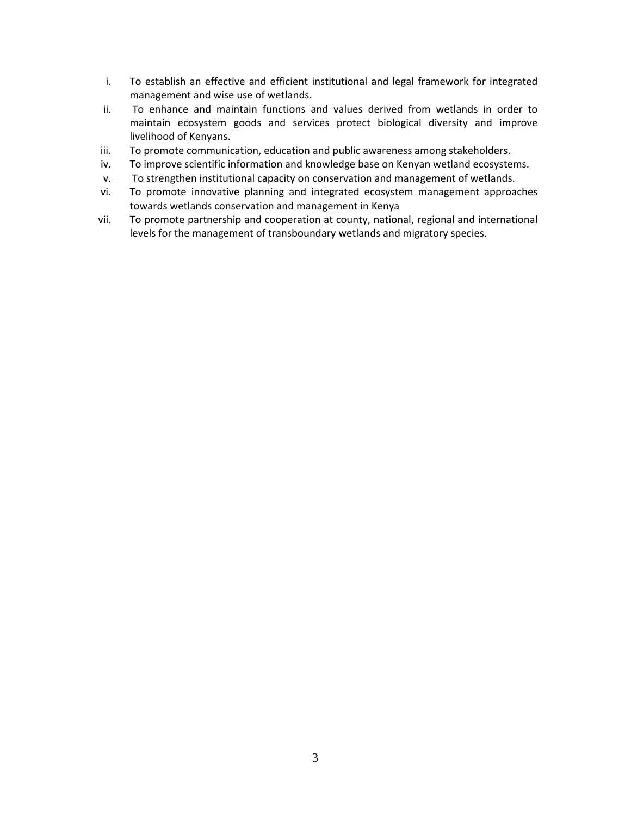- i. To establish an effective and efficient institutional and legal framework for integrated management and wise use of wetlands.
- ii. To enhance and maintain functions and values derived from wetlands in order to maintain ecosystem goods and services protect biological diversity and improve livelihood of Kenyans.
- iii. To promote communication, education and public awareness among stakeholders.
- iv. To improve scientific information and knowledge base on Kenyan wetland ecosystems.
- v. To strengthen institutional capacity on conservation and management of wetlands.
- vi. To promote innovative planning and integrated ecosystem management approaches towards wetlands conservation and management in Kenya
- vii. To promote partnership and cooperation at county, national, regional and international levels for the management of transboundary wetlands and migratory species.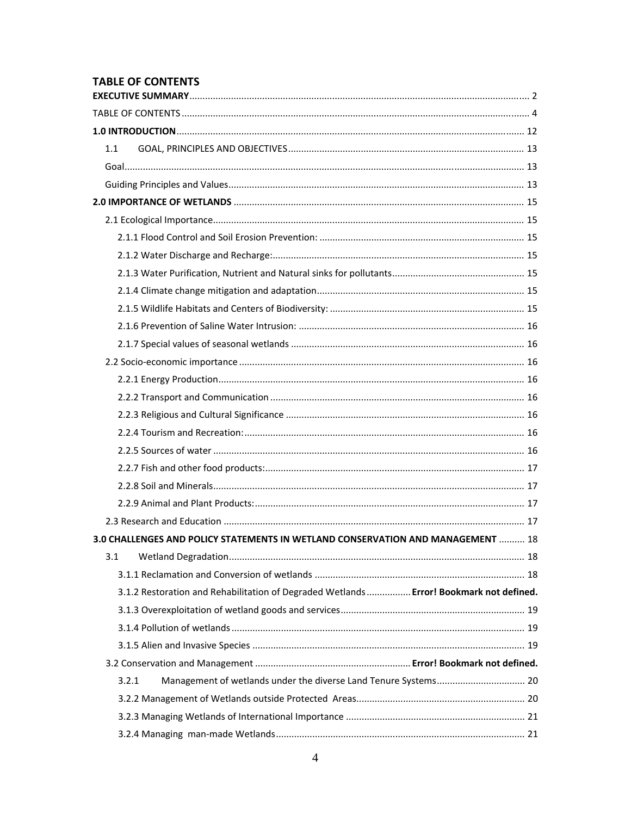# <span id="page-3-0"></span>**TABLE OF CONTENTS**

| 1.1 |                                                                                         |  |
|-----|-----------------------------------------------------------------------------------------|--|
|     |                                                                                         |  |
|     |                                                                                         |  |
|     |                                                                                         |  |
|     |                                                                                         |  |
|     |                                                                                         |  |
|     |                                                                                         |  |
|     |                                                                                         |  |
|     |                                                                                         |  |
|     |                                                                                         |  |
|     |                                                                                         |  |
|     |                                                                                         |  |
|     |                                                                                         |  |
|     |                                                                                         |  |
|     |                                                                                         |  |
|     |                                                                                         |  |
|     |                                                                                         |  |
|     |                                                                                         |  |
|     |                                                                                         |  |
|     |                                                                                         |  |
|     |                                                                                         |  |
|     |                                                                                         |  |
|     | 3.0 CHALLENGES AND POLICY STATEMENTS IN WETLAND CONSERVATION AND MANAGEMENT  18         |  |
| 3.1 |                                                                                         |  |
|     |                                                                                         |  |
|     | 3.1.2 Restoration and Rehabilitation of Degraded Wetlands  Error! Bookmark not defined. |  |
|     |                                                                                         |  |
|     |                                                                                         |  |
|     |                                                                                         |  |
|     |                                                                                         |  |
|     | Management of wetlands under the diverse Land Tenure Systems 20<br>3.2.1                |  |
|     |                                                                                         |  |
|     |                                                                                         |  |
|     |                                                                                         |  |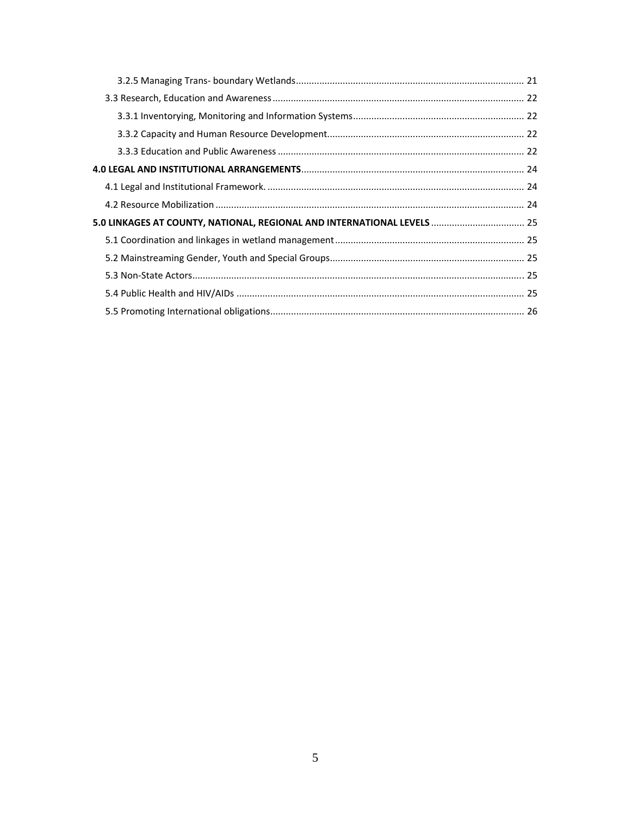| 5.0 LINKAGES AT COUNTY, NATIONAL, REGIONAL AND INTERNATIONAL LEVELS  25 |  |  |
|-------------------------------------------------------------------------|--|--|
|                                                                         |  |  |
|                                                                         |  |  |
|                                                                         |  |  |
|                                                                         |  |  |
|                                                                         |  |  |
|                                                                         |  |  |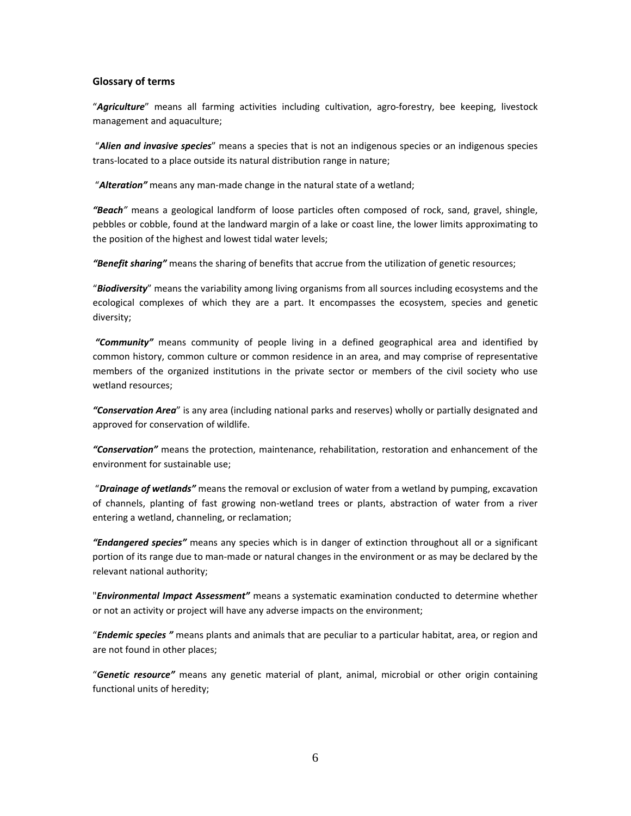#### **Glossary of terms**

"*Agriculture*" means all farming activities including cultivation, agro‐forestry, bee keeping, livestock management and aquaculture;

"*Alien and invasive species*" means a species that is not an indigenous species or an indigenous species trans‐located to a place outside its natural distribution range in nature;

"*Alteration"* means any man‐made change in the natural state of a wetland;

*"Beach"* means a geological landform of loose particles often composed of rock, sand, gravel, shingle, pebbles or cobble, found at the landward margin of a lake or coast line, the lower limits approximating to the position of the highest and lowest tidal water levels;

*"Benefit sharing"* means the sharing of benefits that accrue from the utilization of genetic resources;

"*Biodiversity*" means the variability among living organisms from all sources including ecosystems and the ecological complexes of which they are a part. It encompasses the ecosystem, species and genetic diversity;

*"Community"* means community of people living in a defined geographical area and identified by common history, common culture or common residence in an area, and may comprise of representative members of the organized institutions in the private sector or members of the civil society who use wetland resources;

*"Conservation Area*" is any area (including national parks and reserves) wholly or partially designated and approved for conservation of wildlife.

*"Conservation"* means the protection, maintenance, rehabilitation, restoration and enhancement of the environment for sustainable use;

"*Drainage of wetlands"* means the removal or exclusion of water from a wetland by pumping, excavation of channels, planting of fast growing non‐wetland trees or plants, abstraction of water from a river entering a wetland, channeling, or reclamation;

*"Endangered species"* means any species which is in danger of extinction throughout all or a significant portion of its range due to man‐made or natural changes in the environment or as may be declared by the relevant national authority;

"*Environmental Impact Assessment"* means a systematic examination conducted to determine whether or not an activity or project will have any adverse impacts on the environment;

"*Endemic species "* means plants and animals that are peculiar to a particular habitat, area, or region and are not found in other places;

"*Genetic resource"* means any genetic material of plant, animal, microbial or other origin containing functional units of heredity;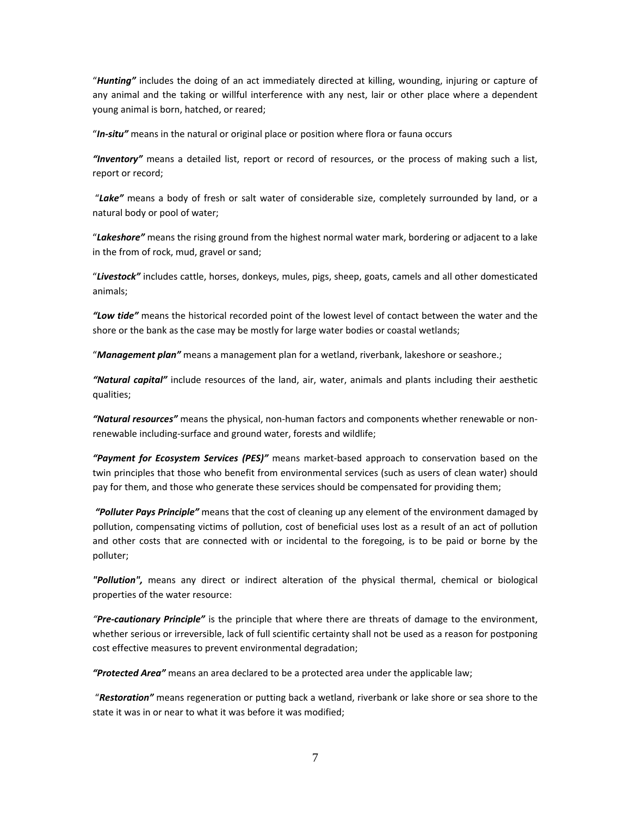"*Hunting"* includes the doing of an act immediately directed at killing, wounding, injuring or capture of any animal and the taking or willful interference with any nest, lair or other place where a dependent young animal is born, hatched, or reared;

"*In‐situ"* means in the natural or original place or position where flora or fauna occurs

*"Inventory"* means a detailed list, report or record of resources, or the process of making such a list, report or record;

"*Lake"* means a body of fresh or salt water of considerable size, completely surrounded by land, or a natural body or pool of water;

"*Lakeshore"* means the rising ground from the highest normal water mark, bordering or adjacent to a lake in the from of rock, mud, gravel or sand;

"*Livestock"* includes cattle, horses, donkeys, mules, pigs, sheep, goats, camels and all other domesticated animals;

*"Low tide"* means the historical recorded point of the lowest level of contact between the water and the shore or the bank as the case may be mostly for large water bodies or coastal wetlands;

"*Management plan"* means a management plan for a wetland, riverbank, lakeshore or seashore.;

*"Natural capital"* include resources of the land, air, water, animals and plants including their aesthetic qualities;

*"Natural resources"* means the physical, non‐human factors and components whether renewable or non‐ renewable including‐surface and ground water, forests and wildlife;

*"Payment for Ecosystem Services (PES)"* means market‐based approach to conservation based on the twin principles that those who benefit from environmental services (such as users of clean water) should pay for them, and those who generate these services should be compensated for providing them;

*"Polluter Pays Principle"* means that the cost of cleaning up any element of the environment damaged by pollution, compensating victims of pollution, cost of beneficial uses lost as a result of an act of pollution and other costs that are connected with or incidental to the foregoing, is to be paid or borne by the polluter;

*"Pollution",* means any direct or indirect alteration of the physical thermal, chemical or biological properties of the water resource:

*"Pre‐cautionary Principle"* is the principle that where there are threats of damage to the environment, whether serious or irreversible, lack of full scientific certainty shall not be used as a reason for postponing cost effective measures to prevent environmental degradation;

*"Protected Area"* means an area declared to be a protected area under the applicable law;

"*Restoration"* means regeneration or putting back a wetland, riverbank or lake shore or sea shore to the state it was in or near to what it was before it was modified;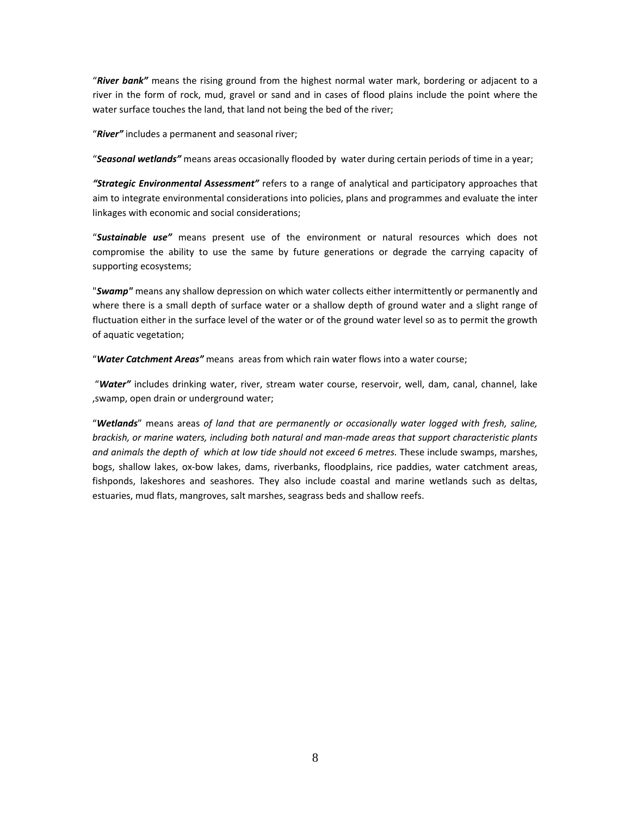"*River bank"* means the rising ground from the highest normal water mark, bordering or adjacent to a river in the form of rock, mud, gravel or sand and in cases of flood plains include the point where the water surface touches the land, that land not being the bed of the river;

"*River"* includes a permanent and seasonal river;

"*Seasonal wetlands"* means areas occasionally flooded by water during certain periods of time in a year;

*"Strategic Environmental Assessment"* refers to a range of analytical and participatory approaches that aim to integrate environmental considerations into policies, plans and programmes and evaluate the inter linkages with economic and social considerations;

"*Sustainable use"* means present use of the environment or natural resources which does not compromise the ability to use the same by future generations or degrade the carrying capacity of supporting ecosystems;

"*Swamp"* means any shallow depression on which water collects either intermittently or permanently and where there is a small depth of surface water or a shallow depth of ground water and a slight range of fluctuation either in the surface level of the water or of the ground water level so as to permit the growth of aquatic vegetation;

"*Water Catchment Areas"* means areas from which rain water flows into a water course;

"*Water"* includes drinking water, river, stream water course, reservoir, well, dam, canal, channel, lake ,swamp, open drain or underground water;

"*Wetlands*" means areas *of land that are permanently or occasionally water logged with fresh, saline, brackish, or marine waters, including both natural and man‐made areas that support characteristic plants and animals the depth of which at low tide should not exceed 6 metres.* These include swamps, marshes, bogs, shallow lakes, ox‐bow lakes, dams, riverbanks, floodplains, rice paddies, water catchment areas, fishponds, lakeshores and seashores. They also include coastal and marine wetlands such as deltas, estuaries, mud flats, mangroves, salt marshes, seagrass beds and shallow reefs.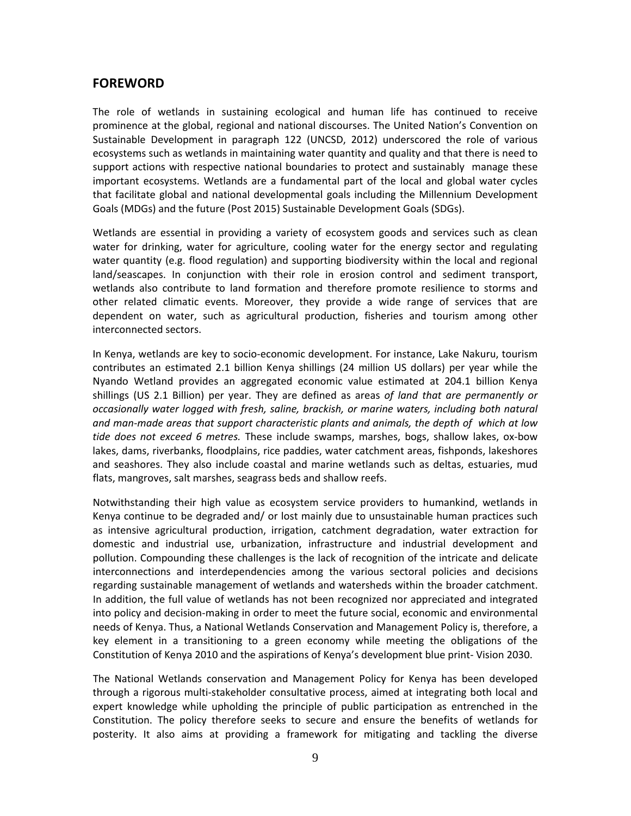# **FOREWORD**

The role of wetlands in sustaining ecological and human life has continued to receive prominence at the global, regional and national discourses. The United Nation's Convention on Sustainable Development in paragraph 122 (UNCSD, 2012) underscored the role of various ecosystems such as wetlands in maintaining water quantity and quality and that there is need to support actions with respective national boundaries to protect and sustainably manage these important ecosystems. Wetlands are a fundamental part of the local and global water cycles that facilitate global and national developmental goals including the Millennium Development Goals (MDGs) and the future (Post 2015) Sustainable Development Goals (SDGs).

Wetlands are essential in providing a variety of ecosystem goods and services such as clean water for drinking, water for agriculture, cooling water for the energy sector and regulating water quantity (e.g. flood regulation) and supporting biodiversity within the local and regional land/seascapes. In conjunction with their role in erosion control and sediment transport, wetlands also contribute to land formation and therefore promote resilience to storms and other related climatic events. Moreover, they provide a wide range of services that are dependent on water, such as agricultural production, fisheries and tourism among other interconnected sectors.

In Kenya, wetlands are key to socio‐economic development. For instance, Lake Nakuru, tourism contributes an estimated 2.1 billion Kenya shillings (24 million US dollars) per year while the Nyando Wetland provides an aggregated economic value estimated at 204.1 billion Kenya shillings (US 2.1 Billion) per year. They are defined as areas *of land that are permanently or occasionally water logged with fresh, saline, brackish, or marine waters, including both natural and man‐made areas that support characteristic plants and animals, the depth of which at low tide does not exceed 6 metres.* These include swamps, marshes, bogs, shallow lakes, ox‐bow lakes, dams, riverbanks, floodplains, rice paddies, water catchment areas, fishponds, lakeshores and seashores. They also include coastal and marine wetlands such as deltas, estuaries, mud flats, mangroves, salt marshes, seagrass beds and shallow reefs.

Notwithstanding their high value as ecosystem service providers to humankind, wetlands in Kenya continue to be degraded and/ or lost mainly due to unsustainable human practices such as intensive agricultural production, irrigation, catchment degradation, water extraction for domestic and industrial use, urbanization, infrastructure and industrial development and pollution. Compounding these challenges is the lack of recognition of the intricate and delicate interconnections and interdependencies among the various sectoral policies and decisions regarding sustainable management of wetlands and watersheds within the broader catchment. In addition, the full value of wetlands has not been recognized nor appreciated and integrated into policy and decision‐making in order to meet the future social, economic and environmental needs of Kenya. Thus, a National Wetlands Conservation and Management Policy is, therefore, a key element in a transitioning to a green economy while meeting the obligations of the Constitution of Kenya 2010 and the aspirations of Kenya's development blue print‐ Vision 2030.

The National Wetlands conservation and Management Policy for Kenya has been developed through a rigorous multi‐stakeholder consultative process, aimed at integrating both local and expert knowledge while upholding the principle of public participation as entrenched in the Constitution. The policy therefore seeks to secure and ensure the benefits of wetlands for posterity. It also aims at providing a framework for mitigating and tackling the diverse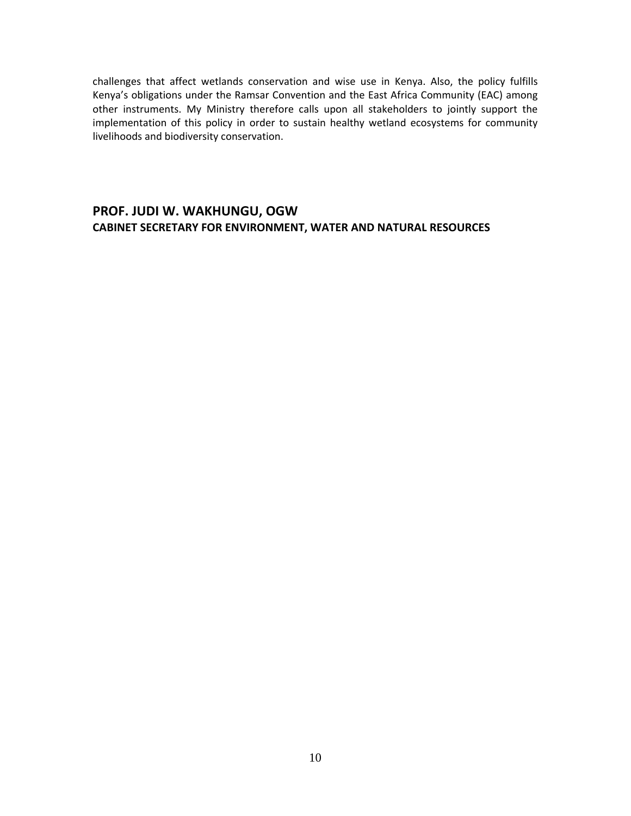challenges that affect wetlands conservation and wise use in Kenya. Also, the policy fulfills Kenya's obligations under the Ramsar Convention and the East Africa Community (EAC) among other instruments. My Ministry therefore calls upon all stakeholders to jointly support the implementation of this policy in order to sustain healthy wetland ecosystems for community livelihoods and biodiversity conservation.

# **PROF. JUDI W. WAKHUNGU, OGW CABINET SECRETARY FOR ENVIRONMENT, WATER AND NATURAL RESOURCES**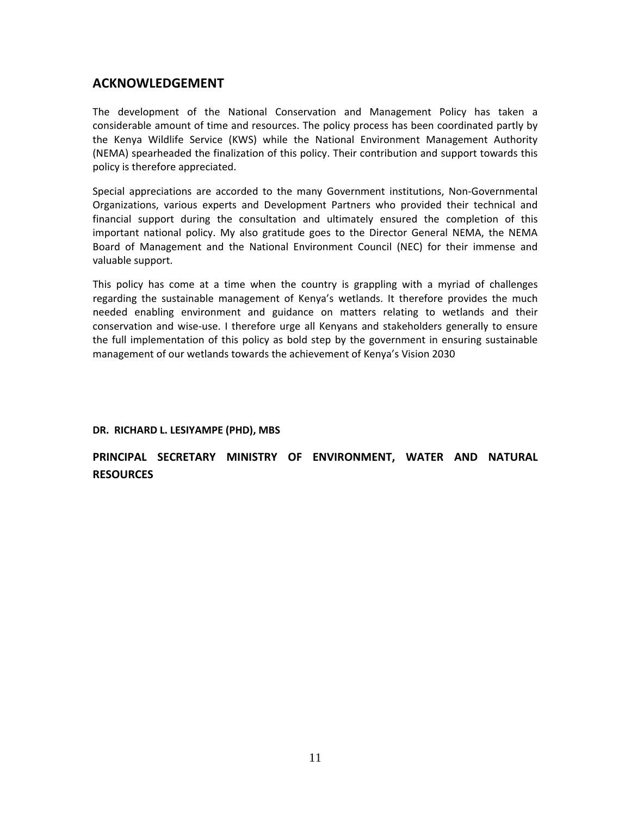# **ACKNOWLEDGEMENT**

The development of the National Conservation and Management Policy has taken a considerable amount of time and resources. The policy process has been coordinated partly by the Kenya Wildlife Service (KWS) while the National Environment Management Authority (NEMA) spearheaded the finalization of this policy. Their contribution and support towards this policy is therefore appreciated.

Special appreciations are accorded to the many Government institutions, Non‐Governmental Organizations, various experts and Development Partners who provided their technical and financial support during the consultation and ultimately ensured the completion of this important national policy. My also gratitude goes to the Director General NEMA, the NEMA Board of Management and the National Environment Council (NEC) for their immense and valuable support.

This policy has come at a time when the country is grappling with a myriad of challenges regarding the sustainable management of Kenya's wetlands. It therefore provides the much needed enabling environment and guidance on matters relating to wetlands and their conservation and wise‐use. I therefore urge all Kenyans and stakeholders generally to ensure the full implementation of this policy as bold step by the government in ensuring sustainable management of our wetlands towards the achievement of Kenya's Vision 2030

### **DR. RICHARD L. LESIYAMPE (PHD), MBS**

**PRINCIPAL SECRETARY MINISTRY OF ENVIRONMENT, WATER AND NATURAL RESOURCES**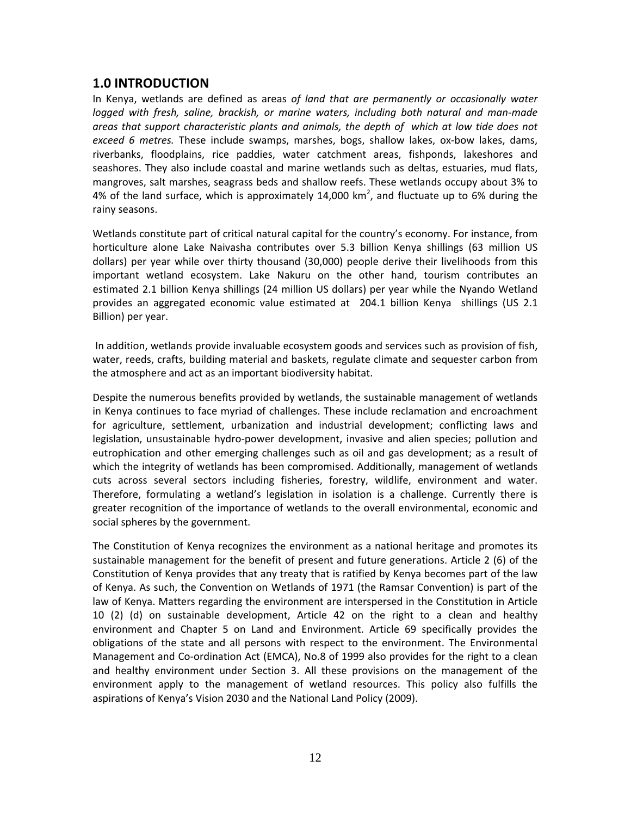# <span id="page-11-0"></span>**1.0 INTRODUCTION**

In Kenya, wetlands are defined as areas *of land that are permanently or occasionally water logged with fresh, saline, brackish, or marine waters, including both natural and man‐made areas that support characteristic plants and animals, the depth of which at low tide does not exceed 6 metres.* These include swamps, marshes, bogs, shallow lakes, ox‐bow lakes, dams, riverbanks, floodplains, rice paddies, water catchment areas, fishponds, lakeshores and seashores. They also include coastal and marine wetlands such as deltas, estuaries, mud flats, mangroves, salt marshes, seagrass beds and shallow reefs. These wetlands occupy about 3% to 4% of the land surface, which is approximately 14,000 km<sup>2</sup>, and fluctuate up to 6% during the rainy seasons.

Wetlands constitute part of critical natural capital for the country's economy. For instance, from horticulture alone Lake Naivasha contributes over 5.3 billion Kenya shillings (63 million US dollars) per year while over thirty thousand (30,000) people derive their livelihoods from this important wetland ecosystem. Lake Nakuru on the other hand, tourism contributes an estimated 2.1 billion Kenya shillings (24 million US dollars) per year while the Nyando Wetland provides an aggregated economic value estimated at 204.1 billion Kenya shillings (US 2.1 Billion) per year.

In addition, wetlands provide invaluable ecosystem goods and services such as provision of fish, water, reeds, crafts, building material and baskets, regulate climate and sequester carbon from the atmosphere and act as an important biodiversity habitat.

Despite the numerous benefits provided by wetlands, the sustainable management of wetlands in Kenya continues to face myriad of challenges. These include reclamation and encroachment for agriculture, settlement, urbanization and industrial development; conflicting laws and legislation, unsustainable hydro-power development, invasive and alien species; pollution and eutrophication and other emerging challenges such as oil and gas development; as a result of which the integrity of wetlands has been compromised. Additionally, management of wetlands cuts across several sectors including fisheries, forestry, wildlife, environment and water. Therefore, formulating a wetland's legislation in isolation is a challenge. Currently there is greater recognition of the importance of wetlands to the overall environmental, economic and social spheres by the government.

The Constitution of Kenya recognizes the environment as a national heritage and promotes its sustainable management for the benefit of present and future generations. Article 2 (6) of the Constitution of Kenya provides that any treaty that is ratified by Kenya becomes part of the law of Kenya. As such, the Convention on Wetlands of 1971 (the Ramsar Convention) is part of the law of Kenya. Matters regarding the environment are interspersed in the Constitution in Article 10 (2) (d) on sustainable development, Article 42 on the right to a clean and healthy environment and Chapter 5 on Land and Environment. Article 69 specifically provides the obligations of the state and all persons with respect to the environment. The Environmental Management and Co-ordination Act (EMCA), No.8 of 1999 also provides for the right to a clean and healthy environment under Section 3. All these provisions on the management of the environment apply to the management of wetland resources. This policy also fulfills the aspirations of Kenya's Vision 2030 and the National Land Policy (2009).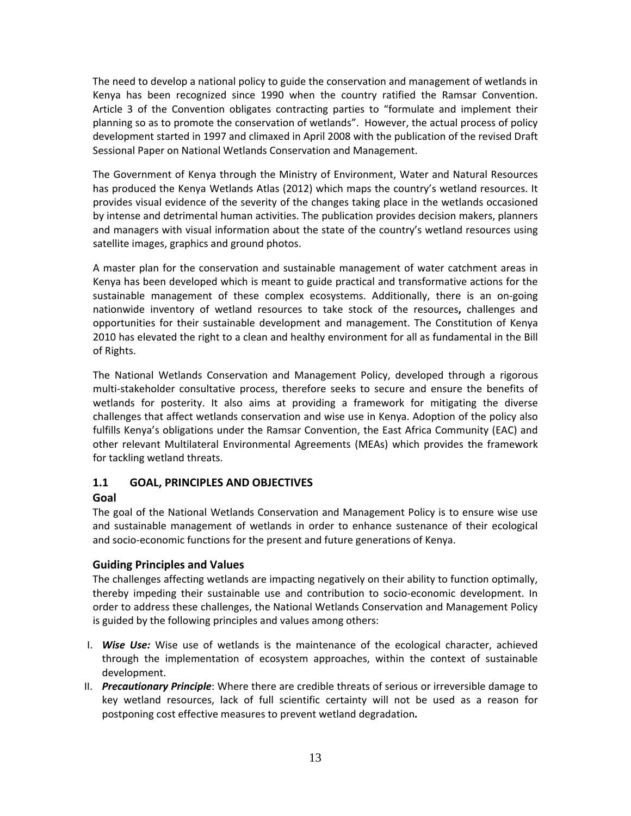<span id="page-12-0"></span>The need to develop a national policy to guide the conservation and management of wetlands in Kenya has been recognized since 1990 when the country ratified the Ramsar Convention. Article 3 of the Convention obligates contracting parties to "formulate and implement their planning so as to promote the conservation of wetlands". However, the actual process of policy development started in 1997 and climaxed in April 2008 with the publication of the revised Draft Sessional Paper on National Wetlands Conservation and Management.

The Government of Kenya through the Ministry of Environment, Water and Natural Resources has produced the Kenya Wetlands Atlas (2012) which maps the country's wetland resources. It provides visual evidence of the severity of the changes taking place in the wetlands occasioned by intense and detrimental human activities. The publication provides decision makers, planners and managers with visual information about the state of the country's wetland resources using satellite images, graphics and ground photos.

A master plan for the conservation and sustainable management of water catchment areas in Kenya has been developed which is meant to guide practical and transformative actions for the sustainable management of these complex ecosystems. Additionally, there is an on-going nationwide inventory of wetland resources to take stock of the resources**,** challenges and opportunities for their sustainable development and management. The Constitution of Kenya 2010 has elevated the right to a clean and healthy environment for all as fundamental in the Bill of Rights.

The National Wetlands Conservation and Management Policy, developed through a rigorous multi‐stakeholder consultative process, therefore seeks to secure and ensure the benefits of wetlands for posterity. It also aims at providing a framework for mitigating the diverse challenges that affect wetlands conservation and wise use in Kenya. Adoption of the policy also fulfills Kenya's obligations under the Ramsar Convention, the East Africa Community (EAC) and other relevant Multilateral Environmental Agreements (MEAs) which provides the framework for tackling wetland threats.

# **1.1 GOAL, PRINCIPLES AND OBJECTIVES**

# **Goal**

The goal of the National Wetlands Conservation and Management Policy is to ensure wise use and sustainable management of wetlands in order to enhance sustenance of their ecological and socio‐economic functions for the present and future generations of Kenya.

# **Guiding Principles and Values**

The challenges affecting wetlands are impacting negatively on their ability to function optimally, thereby impeding their sustainable use and contribution to socio‐economic development. In order to address these challenges, the National Wetlands Conservation and Management Policy is guided by the following principles and values among others:

- I. *Wise Use:* Wise use of wetlands is the maintenance of the ecological character, achieved through the implementation of ecosystem approaches, within the context of sustainable development.
- II. *Precautionary Principle*: Where there are credible threats of serious or irreversible damage to key wetland resources, lack of full scientific certainty will not be used as a reason for postponing cost effective measures to prevent wetland degradation*.*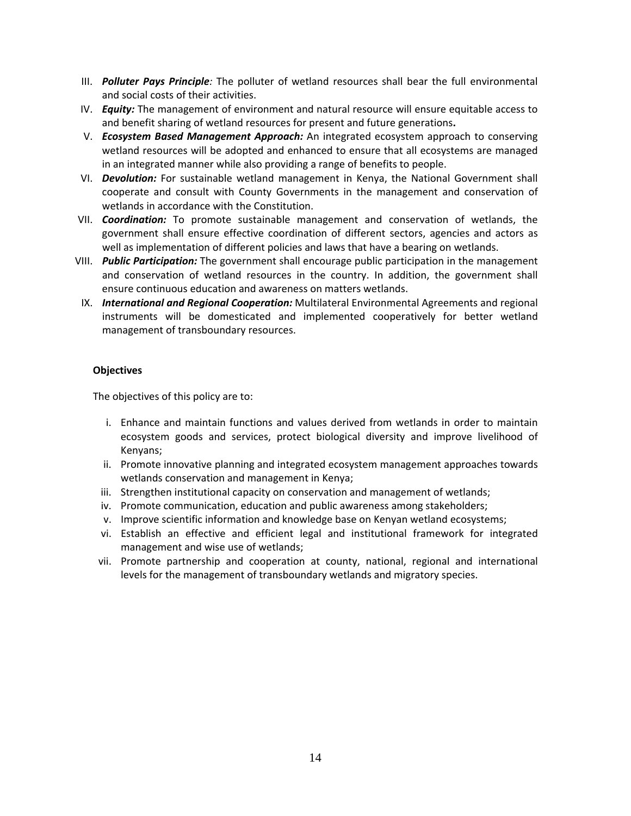- III. *Polluter Pays Principle:* The polluter of wetland resources shall bear the full environmental and social costs of their activities.
- IV. *Equity:* The management of environment and natural resource will ensure equitable access to and benefit sharing of wetland resources for present and future generations**.**
- V. *Ecosystem Based Management Approach:* An integrated ecosystem approach to conserving wetland resources will be adopted and enhanced to ensure that all ecosystems are managed in an integrated manner while also providing a range of benefits to people.
- VI. *Devolution:* For sustainable wetland management in Kenya, the National Government shall cooperate and consult with County Governments in the management and conservation of wetlands in accordance with the Constitution.
- VII. *Coordination:* To promote sustainable management and conservation of wetlands, the government shall ensure effective coordination of different sectors, agencies and actors as well as implementation of different policies and laws that have a bearing on wetlands.
- VIII. *Public Participation:* The government shall encourage public participation in the management and conservation of wetland resources in the country. In addition, the government shall ensure continuous education and awareness on matters wetlands.
- IX. *International and Regional Cooperation:* Multilateral Environmental Agreements and regional instruments will be domesticated and implemented cooperatively for better wetland management of transboundary resources.

## **Objectives**

The objectives of this policy are to:

- i. Enhance and maintain functions and values derived from wetlands in order to maintain ecosystem goods and services, protect biological diversity and improve livelihood of Kenyans;
- ii. Promote innovative planning and integrated ecosystem management approaches towards wetlands conservation and management in Kenya;
- iii. Strengthen institutional capacity on conservation and management of wetlands;
- iv. Promote communication, education and public awareness among stakeholders;
- v. Improve scientific information and knowledge base on Kenyan wetland ecosystems;
- vi. Establish an effective and efficient legal and institutional framework for integrated management and wise use of wetlands;
- vii. Promote partnership and cooperation at county, national, regional and international levels for the management of transboundary wetlands and migratory species.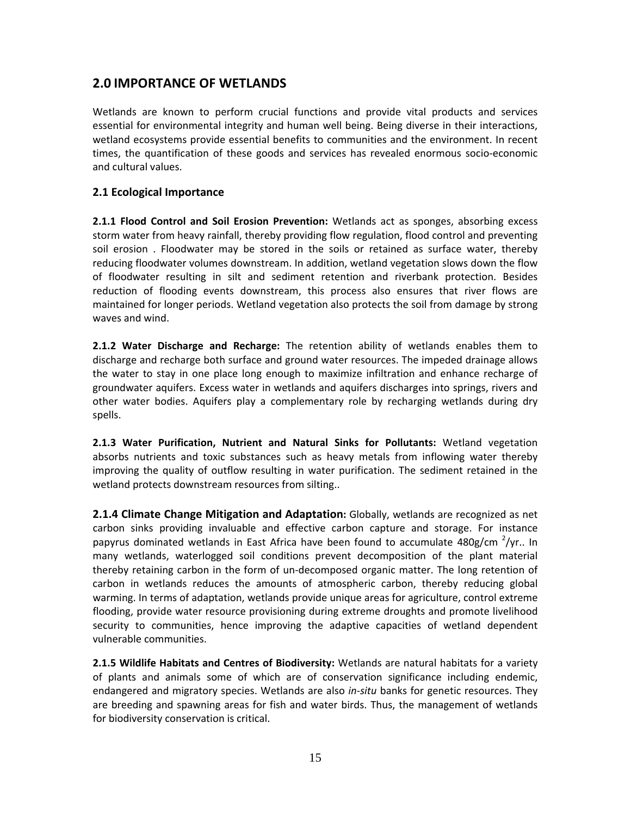# <span id="page-14-0"></span>**2.0 IMPORTANCE OF WETLANDS**

Wetlands are known to perform crucial functions and provide vital products and services essential for environmental integrity and human well being. Being diverse in their interactions, wetland ecosystems provide essential benefits to communities and the environment. In recent times, the quantification of these goods and services has revealed enormous socio‐economic and cultural values.

## **2.1 Ecological Importance**

**2.1.1 Flood Control and Soil Erosion Prevention:** Wetlands act as sponges, absorbing excess storm water from heavy rainfall, thereby providing flow regulation, flood control and preventing soil erosion . Floodwater may be stored in the soils or retained as surface water, thereby reducing floodwater volumes downstream. In addition, wetland vegetation slows down the flow of floodwater resulting in silt and sediment retention and riverbank protection. Besides reduction of flooding events downstream, this process also ensures that river flows are maintained for longer periods. Wetland vegetation also protects the soil from damage by strong waves and wind.

**2.1.2 Water Discharge and Recharge:** The retention ability of wetlands enables them to discharge and recharge both surface and ground water resources. The impeded drainage allows the water to stay in one place long enough to maximize infiltration and enhance recharge of groundwater aquifers. Excess water in wetlands and aquifers discharges into springs, rivers and other water bodies. Aquifers play a complementary role by recharging wetlands during dry spells.

**2.1.3 Water Purification, Nutrient and Natural Sinks for Pollutants:** Wetland vegetation absorbs nutrients and toxic substances such as heavy metals from inflowing water thereby improving the quality of outflow resulting in water purification. The sediment retained in the wetland protects downstream resources from silting..

**2.1.4 Climate Change Mitigation and Adaptation:** Globally, wetlands are recognized as net carbon sinks providing invaluable and effective carbon capture and storage. For instance papyrus dominated wetlands in East Africa have been found to accumulate 480g/cm <sup>2</sup>/yr.. In many wetlands, waterlogged soil conditions prevent decomposition of the plant material thereby retaining carbon in the form of un‐decomposed organic matter. The long retention of carbon in wetlands reduces the amounts of atmospheric carbon, thereby reducing global warming. In terms of adaptation, wetlands provide unique areas for agriculture, control extreme flooding, provide water resource provisioning during extreme droughts and promote livelihood security to communities, hence improving the adaptive capacities of wetland dependent vulnerable communities.

**2.1.5 Wildlife Habitats and Centres of Biodiversity:** Wetlands are natural habitats for a variety of plants and animals some of which are of conservation significance including endemic, endangered and migratory species. Wetlands are also *in‐situ* banks for genetic resources. They are breeding and spawning areas for fish and water birds. Thus, the management of wetlands for biodiversity conservation is critical.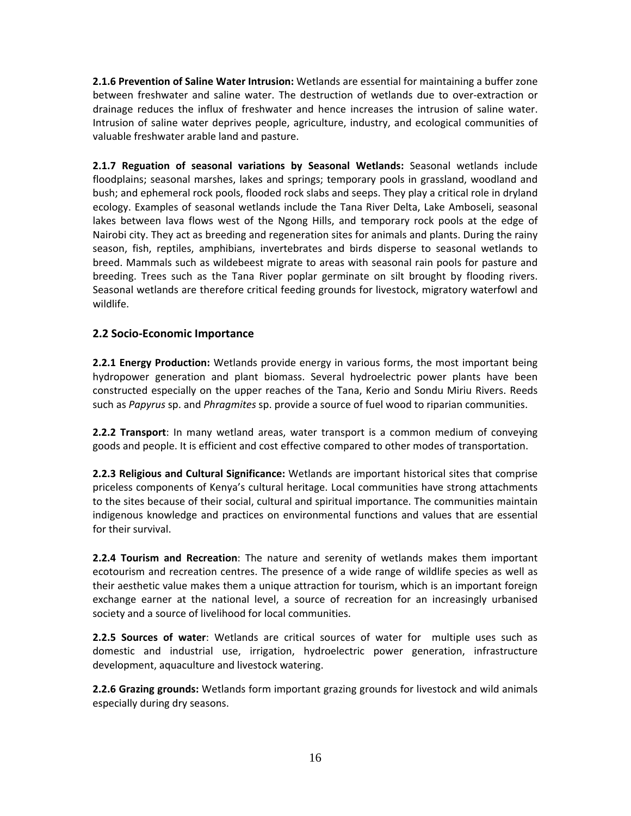<span id="page-15-0"></span>**2.1.6 Prevention of Saline Water Intrusion:** Wetlands are essential for maintaining a buffer zone between freshwater and saline water. The destruction of wetlands due to over‐extraction or drainage reduces the influx of freshwater and hence increases the intrusion of saline water. Intrusion of saline water deprives people, agriculture, industry, and ecological communities of valuable freshwater arable land and pasture.

**2.1.7 Reguation of seasonal variations by Seasonal Wetlands:** Seasonal wetlands include floodplains; seasonal marshes, lakes and springs; temporary pools in grassland, woodland and bush; and ephemeral rock pools, flooded rock slabs and seeps. They play a critical role in dryland ecology. Examples of seasonal wetlands include the Tana River Delta, Lake Amboseli, seasonal lakes between lava flows west of the Ngong Hills, and temporary rock pools at the edge of Nairobi city. They act as breeding and regeneration sites for animals and plants. During the rainy season, fish, reptiles, amphibians, invertebrates and birds disperse to seasonal wetlands to breed. Mammals such as wildebeest migrate to areas with seasonal rain pools for pasture and breeding. Trees such as the Tana River poplar germinate on silt brought by flooding rivers. Seasonal wetlands are therefore critical feeding grounds for livestock, migratory waterfowl and wildlife.

# **2.2 Socio‐Economic Importance**

**2.2.1 Energy Production:** Wetlands provide energy in various forms, the most important being hydropower generation and plant biomass. Several hydroelectric power plants have been constructed especially on the upper reaches of the Tana, Kerio and Sondu Miriu Rivers. Reeds such as *Papyrus* sp. and *Phragmites* sp. provide a source of fuel wood to riparian communities.

**2.2.2 Transport**: In many wetland areas, water transport is a common medium of conveying goods and people. It is efficient and cost effective compared to other modes of transportation.

**2.2.3 Religious and Cultural Significance:** Wetlands are important historical sites that comprise priceless components of Kenya's cultural heritage. Local communities have strong attachments to the sites because of their social, cultural and spiritual importance. The communities maintain indigenous knowledge and practices on environmental functions and values that are essential for their survival.

**2.2.4 Tourism and Recreation**: The nature and serenity of wetlands makes them important ecotourism and recreation centres. The presence of a wide range of wildlife species as well as their aesthetic value makes them a unique attraction for tourism, which is an important foreign exchange earner at the national level, a source of recreation for an increasingly urbanised society and a source of livelihood for local communities.

**2.2.5 Sources of water**: Wetlands are critical sources of water for multiple uses such as domestic and industrial use, irrigation, hydroelectric power generation, infrastructure development, aquaculture and livestock watering.

**2.2.6 Grazing grounds:** Wetlands form important grazing grounds for livestock and wild animals especially during dry seasons.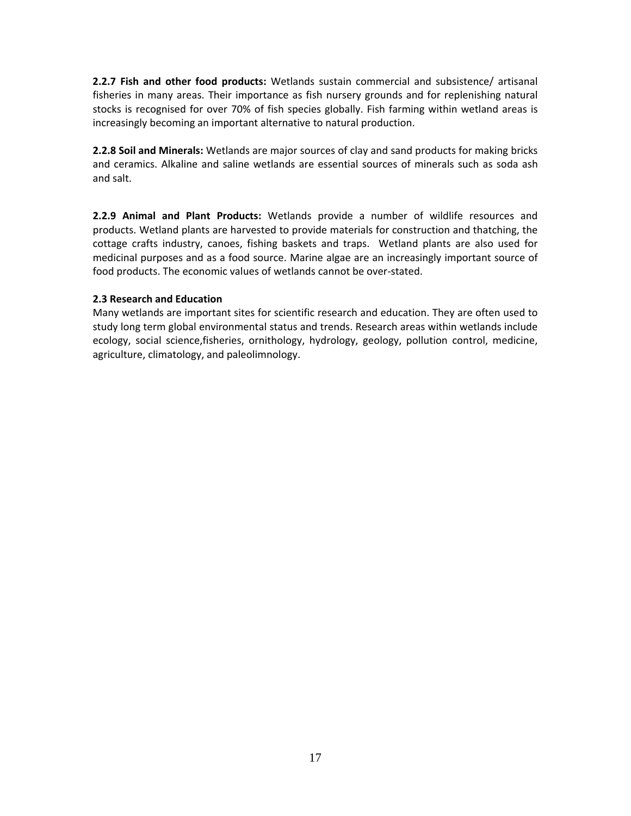<span id="page-16-0"></span>**2.2.7 Fish and other food products:** Wetlands sustain commercial and subsistence/ artisanal fisheries in many areas. Their importance as fish nursery grounds and for replenishing natural stocks is recognised for over 70% of fish species globally. Fish farming within wetland areas is increasingly becoming an important alternative to natural production.

**2.2.8 Soil and Minerals:** Wetlands are major sources of clay and sand products for making bricks and ceramics. Alkaline and saline wetlands are essential sources of minerals such as soda ash and salt.

**2.2.9 Animal and Plant Products:** Wetlands provide a number of wildlife resources and products. Wetland plants are harvested to provide materials for construction and thatching, the cottage crafts industry, canoes, fishing baskets and traps. Wetland plants are also used for medicinal purposes and as a food source. Marine algae are an increasingly important source of food products. The economic values of wetlands cannot be over‐stated.

### **2.3 Research and Education**

Many wetlands are important sites for scientific research and education. They are often used to study long term global environmental status and trends. Research areas within wetlands include ecology, social science,fisheries, ornithology, hydrology, geology, pollution control, medicine, agriculture, climatology, and paleolimnology.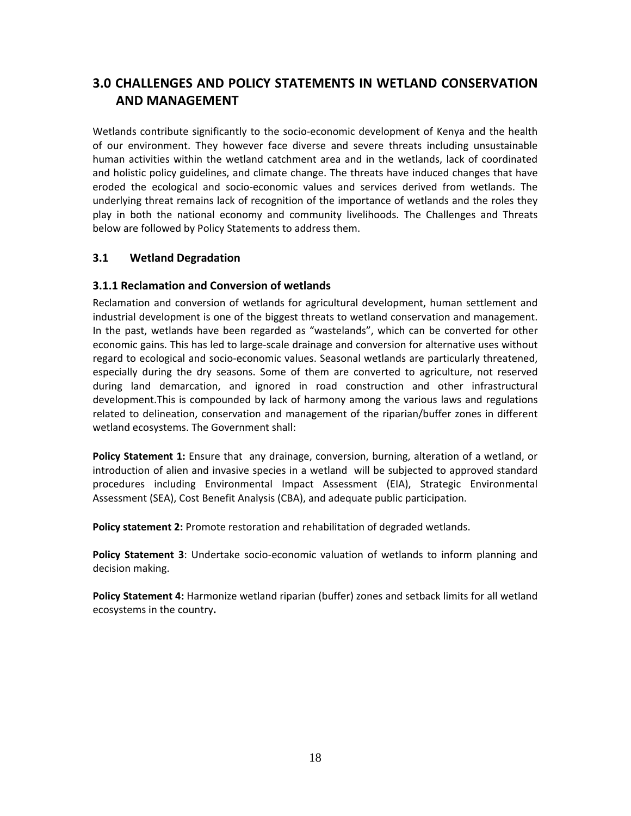# <span id="page-17-0"></span>**3.0 CHALLENGES AND POLICY STATEMENTS IN WETLAND CONSERVATION AND MANAGEMENT**

Wetlands contribute significantly to the socio-economic development of Kenya and the health of our environment. They however face diverse and severe threats including unsustainable human activities within the wetland catchment area and in the wetlands, lack of coordinated and holistic policy guidelines, and climate change. The threats have induced changes that have eroded the ecological and socio‐economic values and services derived from wetlands. The underlying threat remains lack of recognition of the importance of wetlands and the roles they play in both the national economy and community livelihoods. The Challenges and Threats below are followed by Policy Statements to address them.

# **3.1 Wetland Degradation**

# **3.1.1 Reclamation and Conversion of wetlands**

Reclamation and conversion of wetlands for agricultural development, human settlement and industrial development is one of the biggest threats to wetland conservation and management. In the past, wetlands have been regarded as "wastelands", which can be converted for other economic gains. This has led to large‐scale drainage and conversion for alternative uses without regard to ecological and socio‐economic values. Seasonal wetlands are particularly threatened, especially during the dry seasons. Some of them are converted to agriculture, not reserved during land demarcation, and ignored in road construction and other infrastructural development.This is compounded by lack of harmony among the various laws and regulations related to delineation, conservation and management of the riparian/buffer zones in different wetland ecosystems. The Government shall:

**Policy Statement 1:** Ensure that any drainage, conversion, burning, alteration of a wetland, or introduction of alien and invasive species in a wetland will be subjected to approved standard procedures including Environmental Impact Assessment (EIA), Strategic Environmental Assessment (SEA), Cost Benefit Analysis (CBA), and adequate public participation.

**Policy statement 2:** Promote restoration and rehabilitation of degraded wetlands.

**Policy Statement 3**: Undertake socio‐economic valuation of wetlands to inform planning and decision making.

**Policy Statement 4:** Harmonize wetland riparian (buffer) zones and setback limits for all wetland ecosystems in the country**.**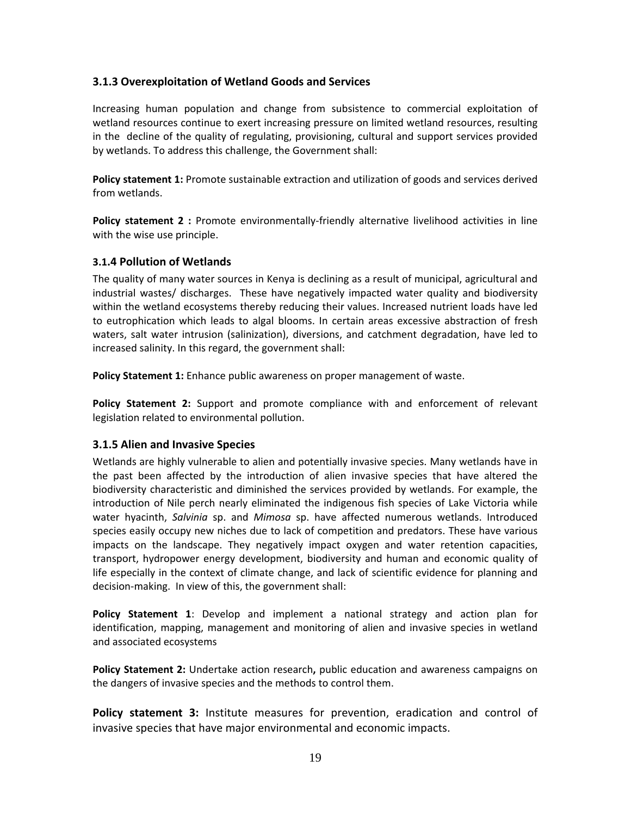## <span id="page-18-0"></span>**3.1.3 Overexploitation of Wetland Goods and Services**

Increasing human population and change from subsistence to commercial exploitation of wetland resources continue to exert increasing pressure on limited wetland resources, resulting in the decline of the quality of regulating, provisioning, cultural and support services provided by wetlands. To address this challenge, the Government shall:

**Policy statement 1:** Promote sustainable extraction and utilization of goods and services derived from wetlands.

**Policy statement 2 :** Promote environmentally‐friendly alternative livelihood activities in line with the wise use principle.

### **3.1.4 Pollution of Wetlands**

The quality of many water sources in Kenya is declining as a result of municipal, agricultural and industrial wastes/ discharges. These have negatively impacted water quality and biodiversity within the wetland ecosystems thereby reducing their values. Increased nutrient loads have led to eutrophication which leads to algal blooms. In certain areas excessive abstraction of fresh waters, salt water intrusion (salinization), diversions, and catchment degradation, have led to increased salinity. In this regard, the government shall:

**Policy Statement 1:** Enhance public awareness on proper management of waste.

**Policy Statement 2:** Support and promote compliance with and enforcement of relevant legislation related to environmental pollution.

# **3.1.5 Alien and Invasive Species**

Wetlands are highly vulnerable to alien and potentially invasive species. Many wetlands have in the past been affected by the introduction of alien invasive species that have altered the biodiversity characteristic and diminished the services provided by wetlands. For example, the introduction of Nile perch nearly eliminated the indigenous fish species of Lake Victoria while water hyacinth, *Salvinia* sp. and *Mimosa* sp. have affected numerous wetlands. Introduced species easily occupy new niches due to lack of competition and predators. These have various impacts on the landscape. They negatively impact oxygen and water retention capacities, transport, hydropower energy development, biodiversity and human and economic quality of life especially in the context of climate change, and lack of scientific evidence for planning and decision‐making. In view of this, the government shall:

**Policy Statement 1**: Develop and implement a national strategy and action plan for identification, mapping, management and monitoring of alien and invasive species in wetland and associated ecosystems

**Policy Statement 2:** Undertake action research**,** public education and awareness campaigns on the dangers of invasive species and the methods to control them.

**Policy statement 3:** Institute measures for prevention, eradication and control of invasive species that have major environmental and economic impacts.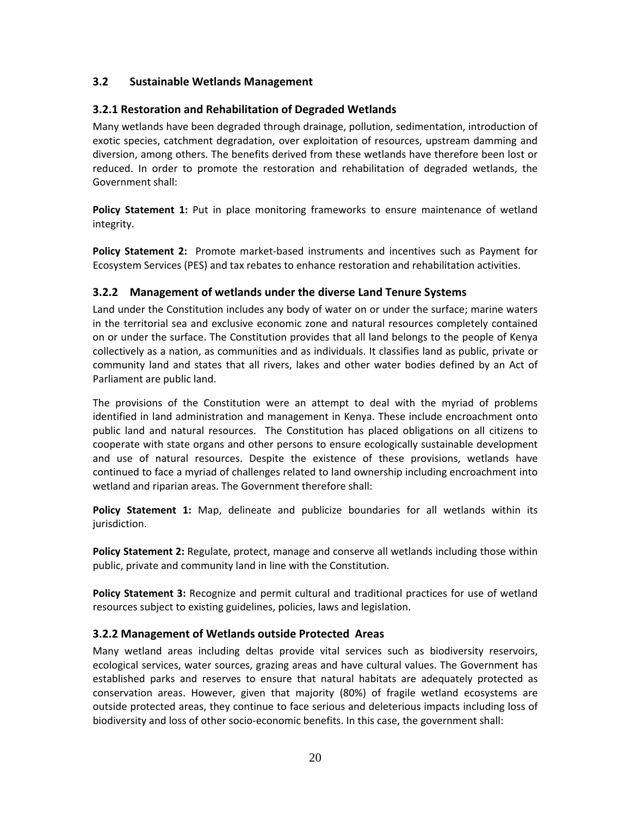# <span id="page-19-0"></span>**3.2 Sustainable Wetlands Management**

# **3.2.1 Restoration and Rehabilitation of Degraded Wetlands**

Many wetlands have been degraded through drainage, pollution, sedimentation, introduction of exotic species, catchment degradation, over exploitation of resources, upstream damming and diversion, among others. The benefits derived from these wetlands have therefore been lost or reduced. In order to promote the restoration and rehabilitation of degraded wetlands, the Government shall:

**Policy Statement 1:** Put in place monitoring frameworks to ensure maintenance of wetland integrity.

**Policy Statement 2:** Promote market-based instruments and incentives such as Payment for Ecosystem Services (PES) and tax rebates to enhance restoration and rehabilitation activities.

# **3.2.2 Management of wetlands under the diverse Land Tenure Systems**

Land under the Constitution includes any body of water on or under the surface; marine waters in the territorial sea and exclusive economic zone and natural resources completely contained on or under the surface. The Constitution provides that all land belongs to the people of Kenya collectively as a nation, as communities and as individuals. It classifies land as public, private or community land and states that all rivers, lakes and other water bodies defined by an Act of Parliament are public land.

The provisions of the Constitution were an attempt to deal with the myriad of problems identified in land administration and management in Kenya. These include encroachment onto public land and natural resources. The Constitution has placed obligations on all citizens to cooperate with state organs and other persons to ensure ecologically sustainable development and use of natural resources. Despite the existence of these provisions, wetlands have continued to face a myriad of challenges related to land ownership including encroachment into wetland and riparian areas. The Government therefore shall:

**Policy Statement 1:** Map, delineate and publicize boundaries for all wetlands within its jurisdiction.

**Policy Statement 2:** Regulate, protect, manage and conserve all wetlands including those within public, private and community land in line with the Constitution.

**Policy Statement 3:** Recognize and permit cultural and traditional practices for use of wetland resources subject to existing guidelines, policies, laws and legislation.

# **3.2.2 Management of Wetlands outside Protected Areas**

Many wetland areas including deltas provide vital services such as biodiversity reservoirs, ecological services, water sources, grazing areas and have cultural values. The Government has established parks and reserves to ensure that natural habitats are adequately protected as conservation areas. However, given that majority (80%) of fragile wetland ecosystems are outside protected areas, they continue to face serious and deleterious impacts including loss of biodiversity and loss of other socio-economic benefits. In this case, the government shall: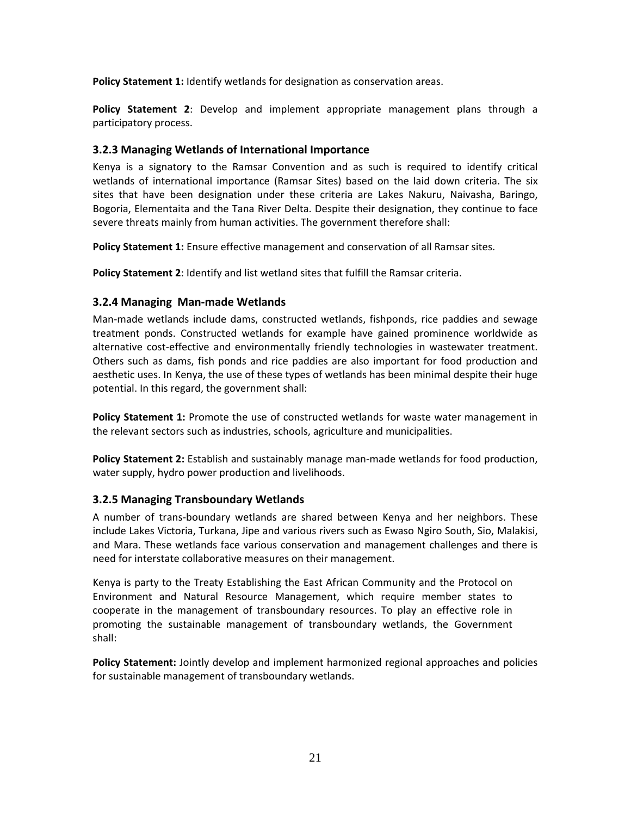<span id="page-20-0"></span>**Policy Statement 1:** Identify wetlands for designation as conservation areas.

**Policy Statement 2**: Develop and implement appropriate management plans through a participatory process.

# **3.2.3 Managing Wetlands of International Importance**

Kenya is a signatory to the Ramsar Convention and as such is required to identify critical wetlands of international importance (Ramsar Sites) based on the laid down criteria. The six sites that have been designation under these criteria are Lakes Nakuru, Naivasha, Baringo, Bogoria, Elementaita and the Tana River Delta. Despite their designation, they continue to face severe threats mainly from human activities. The government therefore shall:

**Policy Statement 1:** Ensure effective management and conservation of all Ramsar sites.

**Policy Statement 2**: Identify and list wetland sites that fulfill the Ramsar criteria.

# **3.2.4 Managing Man‐made Wetlands**

Man-made wetlands include dams, constructed wetlands, fishponds, rice paddies and sewage treatment ponds. Constructed wetlands for example have gained prominence worldwide as alternative cost-effective and environmentally friendly technologies in wastewater treatment. Others such as dams, fish ponds and rice paddies are also important for food production and aesthetic uses. In Kenya, the use of these types of wetlands has been minimal despite their huge potential. In this regard, the government shall:

**Policy Statement 1:** Promote the use of constructed wetlands for waste water management in the relevant sectors such as industries, schools, agriculture and municipalities.

**Policy Statement 2:** Establish and sustainably manage man‐made wetlands for food production, water supply, hydro power production and livelihoods.

# **3.2.5 Managing Transboundary Wetlands**

A number of trans‐boundary wetlands are shared between Kenya and her neighbors. These include Lakes Victoria, Turkana, Jipe and various rivers such as Ewaso Ngiro South, Sio, Malakisi, and Mara. These wetlands face various conservation and management challenges and there is need for interstate collaborative measures on their management.

Kenya is party to the Treaty Establishing the East African Community and the Protocol on Environment and Natural Resource Management, which require member states to cooperate in the management of transboundary resources. To play an effective role in promoting the sustainable management of transboundary wetlands, the Government shall:

**Policy Statement:** Jointly develop and implement harmonized regional approaches and policies for sustainable management of transboundary wetlands.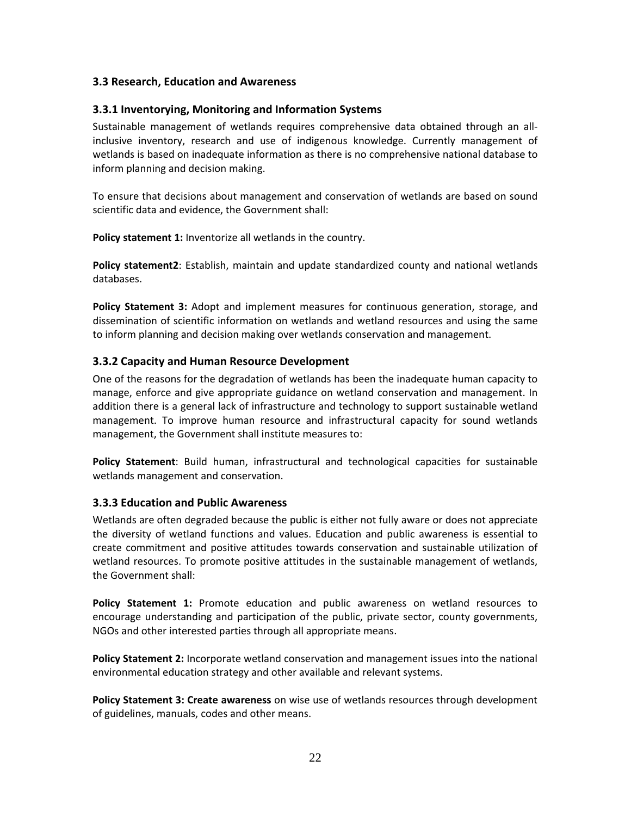## <span id="page-21-0"></span>**3.3 Research, Education and Awareness**

## **3.3.1 Inventorying, Monitoring and Information Systems**

Sustainable management of wetlands requires comprehensive data obtained through an all‐ inclusive inventory, research and use of indigenous knowledge. Currently management of wetlands is based on inadequate information as there is no comprehensive national database to inform planning and decision making.

To ensure that decisions about management and conservation of wetlands are based on sound scientific data and evidence, the Government shall:

**Policy statement 1:** Inventorize all wetlands in the country.

**Policy statement2**: Establish, maintain and update standardized county and national wetlands databases.

**Policy Statement 3:** Adopt and implement measures for continuous generation, storage, and dissemination of scientific information on wetlands and wetland resources and using the same to inform planning and decision making over wetlands conservation and management.

## **3.3.2 Capacity and Human Resource Development**

One of the reasons for the degradation of wetlands has been the inadequate human capacity to manage, enforce and give appropriate guidance on wetland conservation and management. In addition there is a general lack of infrastructure and technology to support sustainable wetland management. To improve human resource and infrastructural capacity for sound wetlands management, the Government shall institute measures to:

**Policy Statement**: Build human, infrastructural and technological capacities for sustainable wetlands management and conservation.

### **3.3.3 Education and Public Awareness**

Wetlands are often degraded because the public is either not fully aware or does not appreciate the diversity of wetland functions and values. Education and public awareness is essential to create commitment and positive attitudes towards conservation and sustainable utilization of wetland resources. To promote positive attitudes in the sustainable management of wetlands, the Government shall:

**Policy Statement 1:** Promote education and public awareness on wetland resources to encourage understanding and participation of the public, private sector, county governments, NGOs and other interested parties through all appropriate means.

**Policy Statement 2:** Incorporate wetland conservation and management issues into the national environmental education strategy and other available and relevant systems.

**Policy Statement 3: Create awareness** on wise use of wetlands resources through development of guidelines, manuals, codes and other means.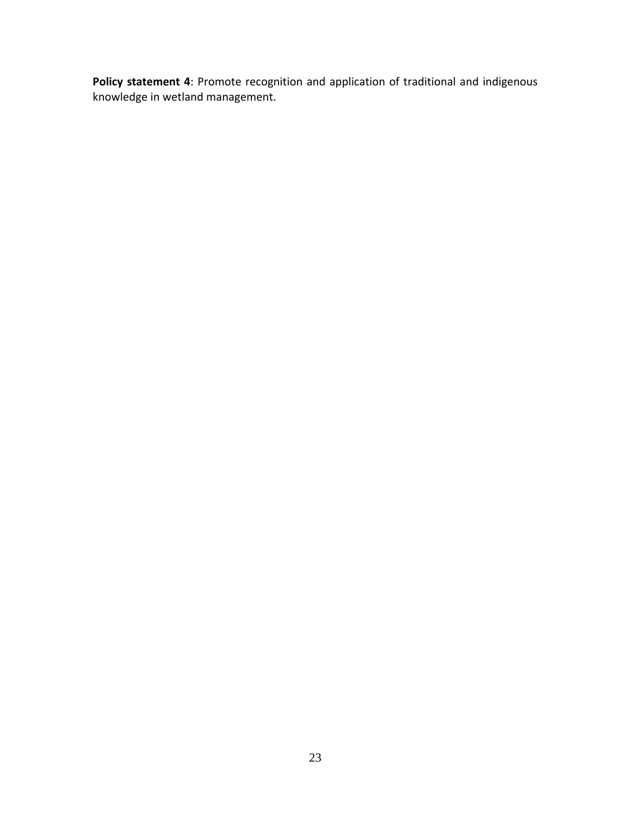**Policy statement 4**: Promote recognition and application of traditional and indigenous knowledge in wetland management.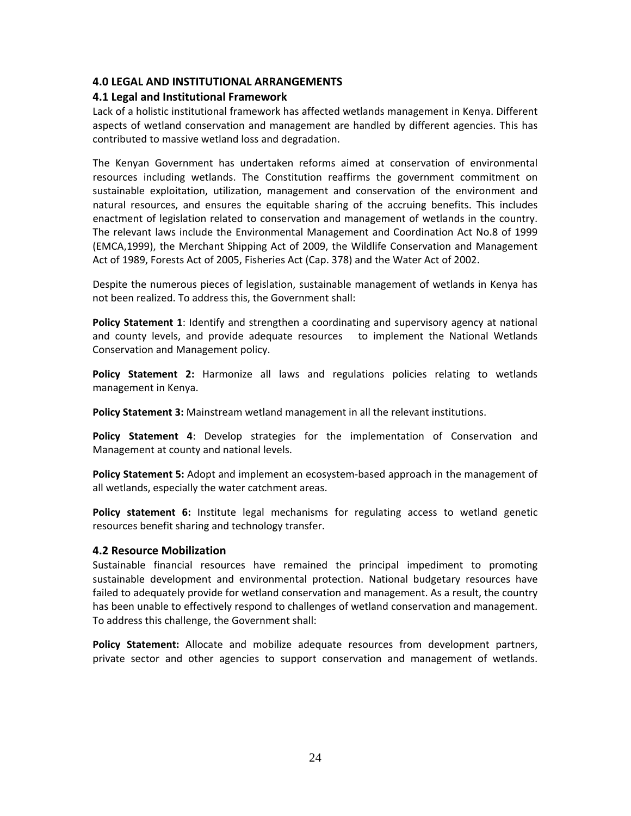## <span id="page-23-0"></span>**4.0 LEGAL AND INSTITUTIONAL ARRANGEMENTS**

## **4.1 Legal and Institutional Framework**

Lack of a holistic institutional framework has affected wetlands management in Kenya. Different aspects of wetland conservation and management are handled by different agencies. This has contributed to massive wetland loss and degradation.

The Kenyan Government has undertaken reforms aimed at conservation of environmental resources including wetlands. The Constitution reaffirms the government commitment on sustainable exploitation, utilization, management and conservation of the environment and natural resources, and ensures the equitable sharing of the accruing benefits. This includes enactment of legislation related to conservation and management of wetlands in the country. The relevant laws include the Environmental Management and Coordination Act No.8 of 1999 (EMCA,1999), the Merchant Shipping Act of 2009, the Wildlife Conservation and Management Act of 1989, Forests Act of 2005, Fisheries Act (Cap. 378) and the Water Act of 2002.

Despite the numerous pieces of legislation, sustainable management of wetlands in Kenya has not been realized. To address this, the Government shall:

**Policy Statement 1**: Identify and strengthen a coordinating and supervisory agency at national and county levels, and provide adequate resources to implement the National Wetlands Conservation and Management policy.

**Policy Statement 2:** Harmonize all laws and regulations policies relating to wetlands management in Kenya.

**Policy Statement 3:** Mainstream wetland management in all the relevant institutions.

**Policy Statement 4**: Develop strategies for the implementation of Conservation and Management at county and national levels.

**Policy Statement 5:** Adopt and implement an ecosystem‐based approach in the management of all wetlands, especially the water catchment areas.

**Policy statement 6:** Institute legal mechanisms for regulating access to wetland genetic resources benefit sharing and technology transfer.

### **4.2 Resource Mobilization**

Sustainable financial resources have remained the principal impediment to promoting sustainable development and environmental protection. National budgetary resources have failed to adequately provide for wetland conservation and management. As a result, the country has been unable to effectively respond to challenges of wetland conservation and management. To address this challenge, the Government shall:

**Policy Statement:** Allocate and mobilize adequate resources from development partners, private sector and other agencies to support conservation and management of wetlands.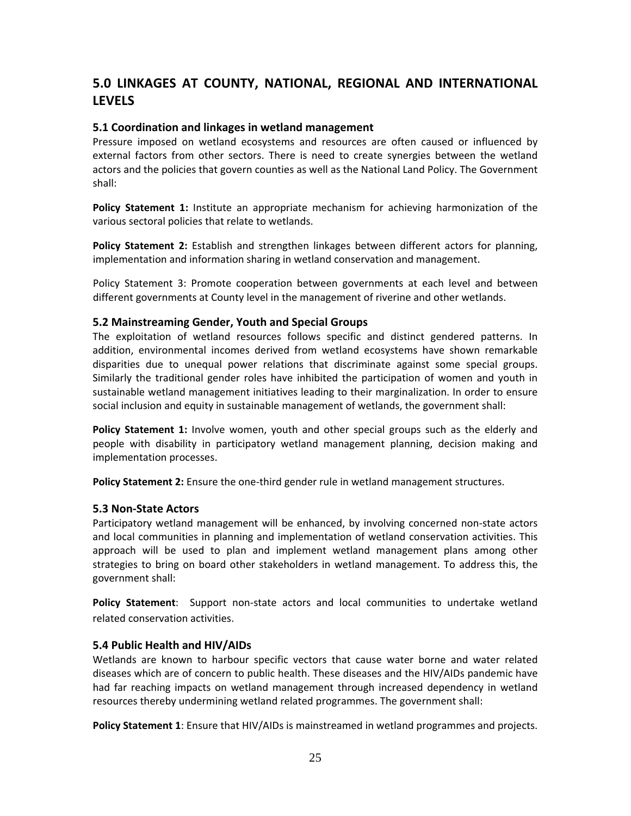# <span id="page-24-0"></span>**5.0 LINKAGES AT COUNTY, NATIONAL, REGIONAL AND INTERNATIONAL LEVELS**

## **5.1 Coordination and linkages in wetland management**

Pressure imposed on wetland ecosystems and resources are often caused or influenced by external factors from other sectors. There is need to create synergies between the wetland actors and the policies that govern counties as well as the National Land Policy. The Government shall:

**Policy Statement 1:** Institute an appropriate mechanism for achieving harmonization of the various sectoral policies that relate to wetlands.

**Policy Statement 2:** Establish and strengthen linkages between different actors for planning, implementation and information sharing in wetland conservation and management.

Policy Statement 3: Promote cooperation between governments at each level and between different governments at County level in the management of riverine and other wetlands.

#### **5.2 Mainstreaming Gender, Youth and Special Groups**

The exploitation of wetland resources follows specific and distinct gendered patterns. In addition, environmental incomes derived from wetland ecosystems have shown remarkable disparities due to unequal power relations that discriminate against some special groups. Similarly the traditional gender roles have inhibited the participation of women and youth in sustainable wetland management initiatives leading to their marginalization. In order to ensure social inclusion and equity in sustainable management of wetlands, the government shall:

**Policy Statement 1:** Involve women, youth and other special groups such as the elderly and people with disability in participatory wetland management planning, decision making and implementation processes.

**Policy Statement 2:** Ensure the one‐third gender rule in wetland management structures.

#### **5.3 Non‐State Actors**

Participatory wetland management will be enhanced, by involving concerned non‐state actors and local communities in planning and implementation of wetland conservation activities. This approach will be used to plan and implement wetland management plans among other strategies to bring on board other stakeholders in wetland management. To address this, the government shall:

**Policy Statement**: Support non‐state actors and local communities to undertake wetland related conservation activities.

### **5.4 Public Health and HIV/AIDs**

Wetlands are known to harbour specific vectors that cause water borne and water related diseases which are of concern to public health. These diseases and the HIV/AIDs pandemic have had far reaching impacts on wetland management through increased dependency in wetland resources thereby undermining wetland related programmes. The government shall:

**Policy Statement 1**: Ensure that HIV/AIDs is mainstreamed in wetland programmes and projects.